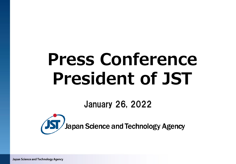# **Press Conference President of JST**

January 26, 2022



Japan Science and Technology Agency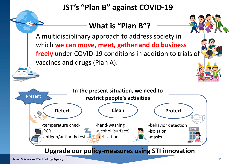# **JST's "Plan B" against COVID-19**

## **What is "Plan B"?**

A multidisciplinary approach to address society in which **we can move, meet, gather and do business freely** under COVID-19 conditions in addition to trials of vaccines and drugs (Plan A).

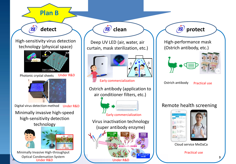

High-performance mask (Ostrich antibody, etc.) Remote health screening Ostrich antibody Practical use





Cloud service MeDaCa

Practical use

**3**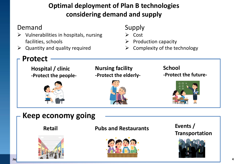### **Optimal deployment of Plan B technologies considering demand and supply**

#### Demand

**Protect**

- $\triangleright$  Vulnerabilities in hospitals, nursing facilities, schools
- Quantity and quality required

#### Supply

- $\triangleright$  Cost
- Production capacity
- $\triangleright$  Complexity of the technology



# **Keep economy going**



#### **Retail Pubs and Restaurants**



#### **Events / Transportation**